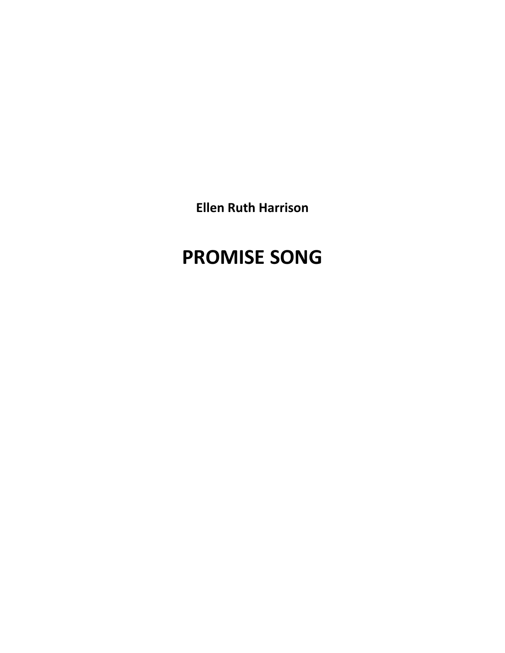**Ellen Ruth Harrison**

# **PROMISE SONG**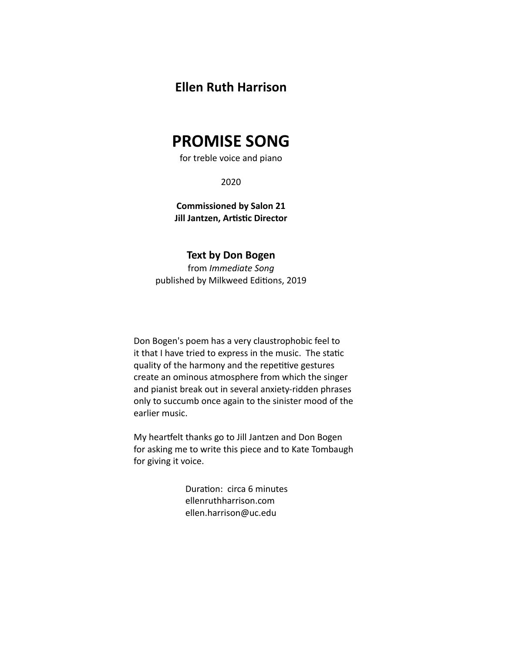### **Ellen Ruth Harrison**

## **PROMISE SONG**

for treble voice and piano

2020

**Commissioned by Salon 21 Jill Jantzen, Artistic Director** 

### **Text by Don Bogen**

from *Immediate Song* published by Milkweed Editions, 2019

Don Bogen's poem has a very claustrophobic feel to it that I have tried to express in the music. The static quality of the harmony and the repetitive gestures create an ominous atmosphere from which the singer and pianist break out in several anxiety-ridden phrases only to succumb once again to the sinister mood of the earlier music.

My heartfelt thanks go to Jill Jantzen and Don Bogen for asking me to write this piece and to Kate Tombaugh for giving it voice.

> Duration: circa 6 minutes ellenruthharrison.com ellen.harrison@uc.edu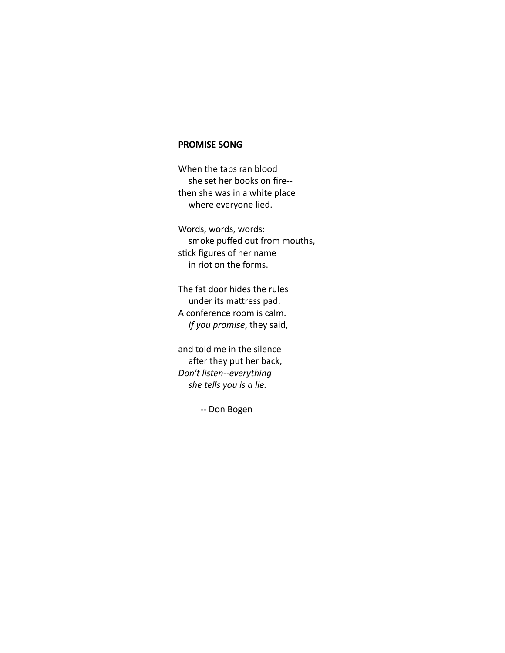#### **PROMISE SONG**

When the taps ran blood she set her books on fire- then she was in a white place where everyone lied.

Words, words, words: smoke puffed out from mouths, stick figures of her name in riot on the forms.

The fat door hides the rules under its mattress pad. A conference room is calm. *If you promise*, they said,

and told me in the silence after they put her back, *Don't listen--everything she tells you is a lie.*

-- Don Bogen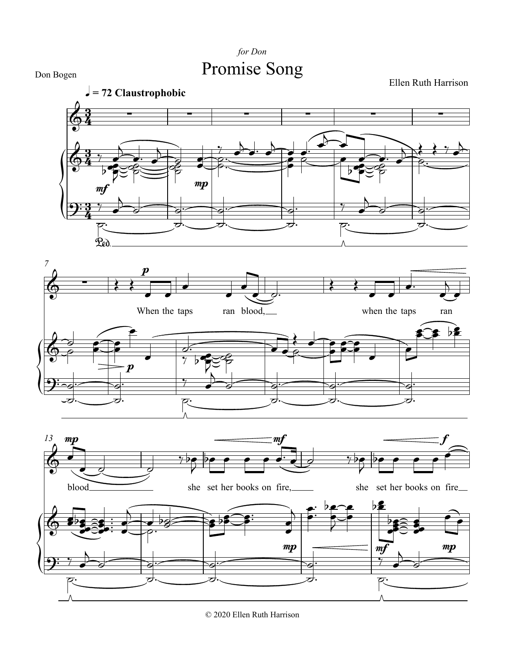



© 2020 Ellen Ruth Harrison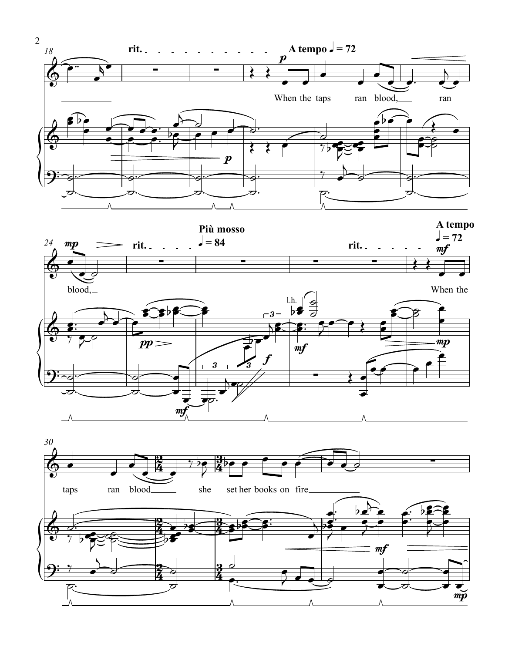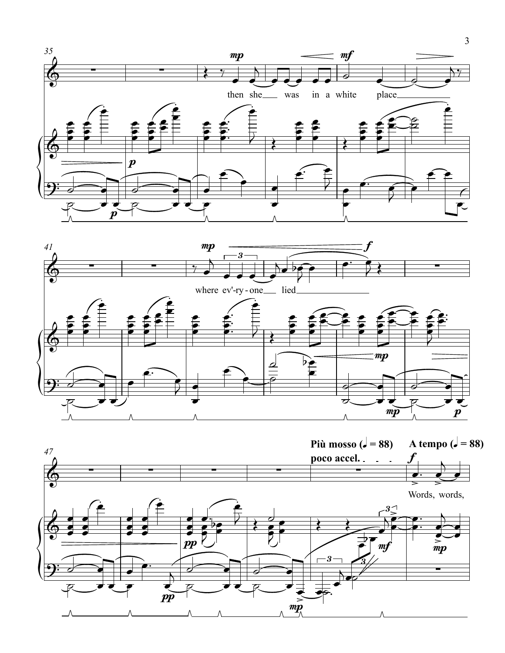



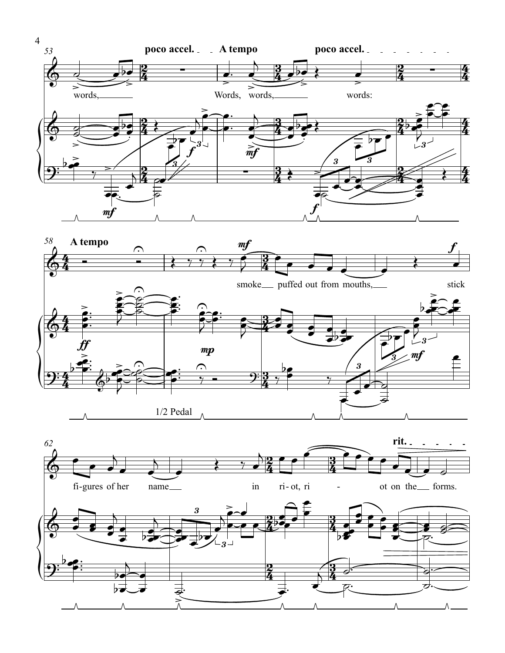



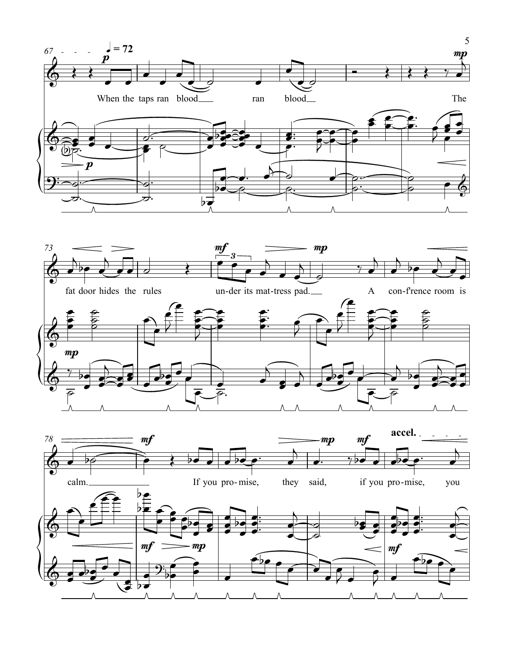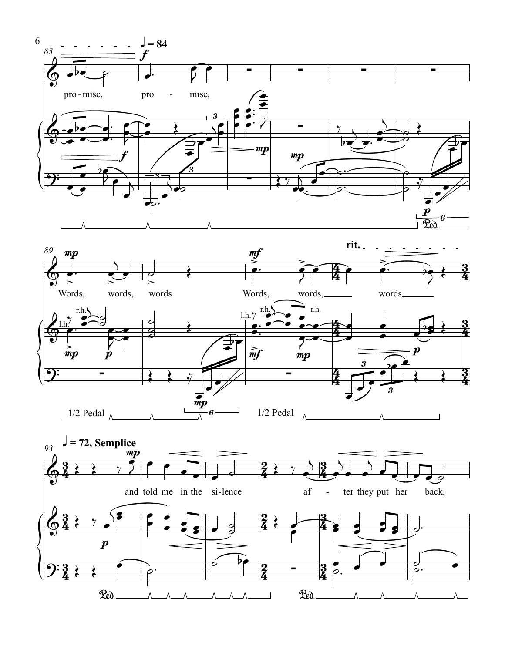



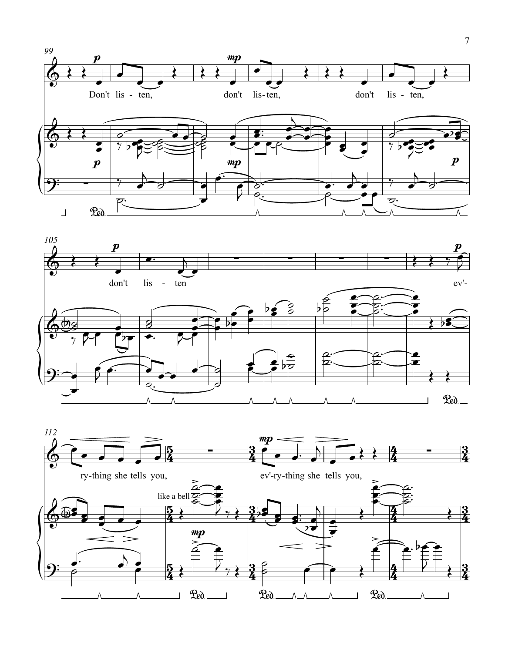